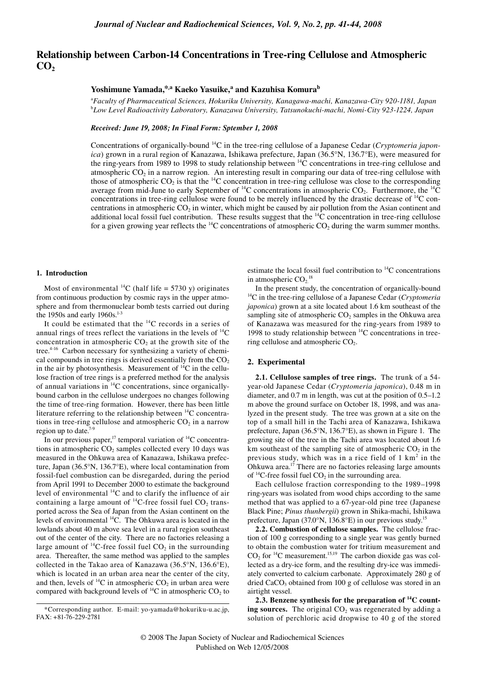# **Relationship between Carbon-14 Concentrations in Tree-ring Cellulose and Atmospheric CO**<sub>2</sub>

## **Yoshimune Yamada,\*,a Kaeko Yasuike,<sup>a</sup> and Kazuhisa Komurab**

a *Faculty of Pharmaceutical Sciences, Hokuriku University, Kanagawa-machi, Kanazawa-City 920-1181, Japan* b *Low Level Radioactivity Laboratory, Kanazawa University, Tatsunokuchi-machi, Nomi-City 923-1224, Japan*

#### *Received: June 19, 2008; In Final Form: Sptember 1, 2008*

Concentrations of organically-bound 14C in the tree-ring cellulose of a Japanese Cedar (*Cryptomeria japonica*) grown in a rural region of Kanazawa, Ishikawa prefecture, Japan (36.5°N, 136.7°E), were measured for the ring-years from 1989 to 1998 to study relationship between  $\frac{14C}{C}$  concentrations in tree-ring cellulose and atmospheric  $CO<sub>2</sub>$  in a narrow region. An interesting result in comparing our data of tree-ring cellulose with those of atmospheric  $CO_2$  is that the <sup>14</sup>C concentration in tree-ring cellulose was close to the corresponding average from mid-June to early September of  $^{14}C$  concentrations in atmospheric CO<sub>2</sub>. Furthermore, the  $^{14}C$ concentrations in tree-ring cellulose were found to be merely influenced by the drastic decrease of  $^{14}$ C concentrations in atmospheric  $CO<sub>2</sub>$  in winter, which might be caused by air pollution from the Asian continent and additional local fossil fuel contribution. These results suggest that the <sup>14</sup>C concentration in tree-ring cellulose for a given growing year reflects the  $^{14}C$  concentrations of atmospheric  $CO<sub>2</sub>$  during the warm summer months.

#### **1. Introduction**

Most of environmental  $^{14}C$  (half life = 5730 y) originates from continuous production by cosmic rays in the upper atmosphere and from thermonuclear bomb tests carried out during the 1950s and early  $1960s$ .<sup>1-3</sup>

It could be estimated that the  $^{14}$ C records in a series of annual rings of trees reflect the variations in the levels of  $^{14}$ C concentration in atmospheric  $CO<sub>2</sub>$  at the growth site of the tree.<sup>4-16</sup> Carbon necessary for synthesizing a variety of chemical compounds in tree rings is derived essentially from the  $CO<sub>2</sub>$ in the air by photosynthesis. Measurement of  ${}^{14}C$  in the cellulose fraction of tree rings is a preferred method for the analysis of annual variations in 14C concentrations, since organicallybound carbon in the cellulose undergoes no changes following the time of tree-ring formation. However, there has been little literature referring to the relationship between  $^{14}$ C concentrations in tree-ring cellulose and atmospheric  $CO<sub>2</sub>$  in a narrow region up to date. $7$ 

In our previous paper,<sup>17</sup> temporal variation of  $^{14}C$  concentrations in atmospheric  $CO<sub>2</sub>$  samples collected every 10 days was measured in the Ohkuwa area of Kanazawa, Ishikawa prefecture, Japan (36.5°N, 136.7°E), where local contamination from fossil-fuel combustion can be disregarded, during the period from April 1991 to December 2000 to estimate the background level of environmental <sup>14</sup>C and to clarify the influence of air containing a large amount of  ${}^{14}C$ -free fossil fuel CO<sub>2</sub> transported across the Sea of Japan from the Asian continent on the levels of environmental 14C. The Ohkuwa area is located in the lowlands about 40 m above sea level in a rural region southeast out of the center of the city. There are no factories releasing a large amount of  ${}^{14}C$ -free fossil fuel  $CO<sub>2</sub>$  in the surrounding area. Thereafter, the same method was applied to the samples collected in the Takao area of Kanazawa (36.5°N, 136.6°E), which is located in an urban area near the center of the city, and then, levels of  $^{14}C$  in atmospheric  $CO<sub>2</sub>$  in urban area were compared with background levels of  $^{14}C$  in atmospheric CO<sub>2</sub> to estimate the local fossil fuel contribution to 14C concentrations in atmospheric  $CO<sub>2</sub>$ .<sup>18</sup>

In the present study, the concentration of organically-bound 14C in the tree-ring cellulose of a Japanese Cedar (*Cryptomeria japonica*) grown at a site located about 1.6 km southeast of the sampling site of atmospheric  $CO<sub>2</sub>$  samples in the Ohkuwa area of Kanazawa was measured for the ring-years from 1989 to 1998 to study relationship between  ${}^{14}$ C concentrations in treering cellulose and atmospheric  $CO<sub>2</sub>$ .

#### **2. Experimental**

**2.1. Cellulose samples of tree rings.** The trunk of a 54 year-old Japanese Cedar (*Cryptomeria japonica*), 0.48 m in diameter, and 0.7 m in length, was cut at the position of 0.5–1.2 m above the ground surface on October 18, 1998, and was analyzed in the present study. The tree was grown at a site on the top of a small hill in the Tachi area of Kanazawa, Ishikawa prefecture, Japan (36.5°N, 136.7°E), as shown in Figure 1. The growing site of the tree in the Tachi area was located about 1.6 km southeast of the sampling site of atmospheric  $CO<sub>2</sub>$  in the previous study, which was in a rice field of  $1 \text{ km}^2$  in the Ohkuwa area. $17$  There are no factories releasing large amounts of  ${}^{14}$ C-free fossil fuel CO<sub>2</sub> in the surrounding area.

Each cellulose fraction corresponding to the 1989–1998 ring-years was isolated from wood chips according to the same method that was applied to a 67-year-old pine tree (Japanese Black Pine; *Pinus thunbergii*) grown in Shika-machi, Ishikawa prefecture, Japan (37.0°N, 136.8°E) in our previous study.15

**2.2. Combustion of cellulose samples.** The cellulose fraction of 100 g corresponding to a single year was gently burned to obtain the combustion water for tritium measurement and  $CO<sub>2</sub>$  for <sup>14</sup>C measurement.<sup>15,19</sup> The carbon dioxide gas was collected as a dry-ice form, and the resulting dry-ice was immediately converted to calcium carbonate. Approximately 280 g of dried CaCO<sub>3</sub> obtained from 100 g of cellulose was stored in an airtight vessel.

**2.3. Benzene synthesis for the preparation of 14C counting sources.** The original CO<sub>2</sub> was regenerated by adding a solution of perchloric acid dropwise to 40 g of the stored

<sup>\*</sup>Corresponding author. E-mail: yo-yamada@hokuriku-u.ac.jp, FAX: +81-76-229-2781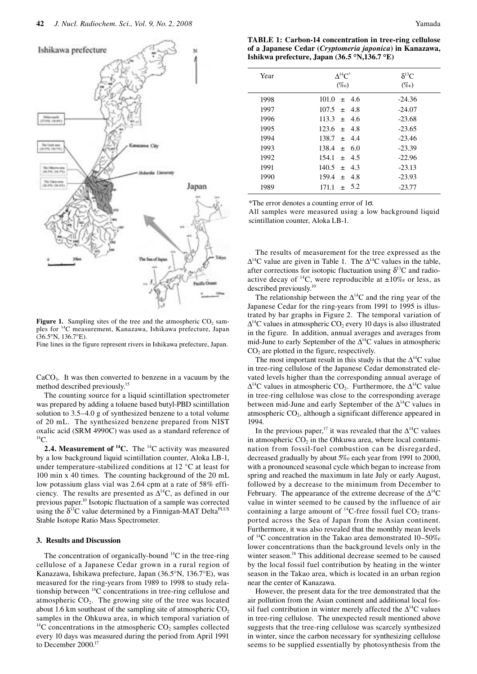

**Figure 1.** Sampling sites of the tree and the atmospheric CO<sub>2</sub> samples for 14C measurement, Kanazawa, Ishikawa prefecture, Japan (36.5°N, 136.7°E).

Fine lines in the figure represent rivers in Ishikawa prefecture, Japan.

 $CaCO<sub>3</sub>$ . It was then converted to benzene in a vacuum by the method described previously.15

The counting source for a liquid scintillation spectrometer was prepared by adding a toluene based butyl-PBD scintillation solution to 3.5–4.0 g of synthesized benzene to a total volume of 20 mL. The synthesized benzene prepared from NIST oxalic acid (SRM 4990C) was used as a standard reference of  $^{14}C$ .

**2.4. Measurement of <sup>14</sup>C.** The <sup>14</sup>C activity was measured by a low background liquid scintillation counter, Aloka LB-1, under temperature-stabilized conditions at 12 °C at least for 100 min x 40 times. The counting background of the 20 mL low potassium glass vial was 2.64 cpm at a rate of 58% efficiency. The results are presented as  $\Delta^{14}$ C, as defined in our previous paper.10 Isotopic fluctuation of a sample was corrected using the  $\delta^{13}C$  value determined by a Finnigan-MAT Delta<sup>PLUS</sup> Stable Isotope Ratio Mass Spectrometer.

#### **3. Results and Discussion**

The concentration of organically-bound  $^{14}C$  in the tree-ring cellulose of a Japanese Cedar grown in a rural region of Kanazawa, Ishikawa prefecture, Japan (36.5°N, 136.7°E), was measured for the ring-years from 1989 to 1998 to study relationship between 14C concentrations in tree-ring cellulose and atmospheric  $CO<sub>2</sub>$ . The growing site of the tree was located about 1.6 km southeast of the sampling site of atmospheric  $CO<sub>2</sub>$ samples in the Ohkuwa area, in which temporal variation of  $^{14}$ C concentrations in the atmospheric CO<sub>2</sub> samples collected every 10 days was measured during the period from April 1991 to December 2000.<sup>17</sup>

| <b>TABLE 1: Carbon-14 concentration in tree-ring cellulose</b> |
|----------------------------------------------------------------|
| of a Japanese Cedar (Cryptomeria japonica) in Kanazawa,        |
| Ishikwa prefecture, Japan (36.5 °N,136.7 °E)                   |

| Year | $\Delta^{14}$ C <sup>*</sup><br>$(\%o)$ | $\delta^{13}C$<br>$(\%o)$ |
|------|-----------------------------------------|---------------------------|
| 1998 | $101.0 \pm 4.6$                         | $-24.36$                  |
| 1997 | $107.5 \pm 4.8$                         | $-24.07$                  |
| 1996 | $113.3 \pm 4.6$                         | $-23.68$                  |
| 1995 | $123.6 \pm 4.8$                         | $-23.65$                  |
| 1994 | $138.7 \pm 4.4$                         | $-23.46$                  |
| 1993 | $138.4 \pm 6.0$                         | $-23.39$                  |
| 1992 | $154.1 \pm 4.5$                         | $-22.96$                  |
| 1991 | $140.5 \pm 4.3$                         | $-23.13$                  |
| 1990 | 159.4<br>$\pm$ 4.8                      | $-23.93$                  |
| 1989 | $+ 5.2$<br>171.1                        | $-23.77$                  |
|      |                                         |                           |

\*The error denotes a counting error of 1σ.

All samples were measured using a low background liquid scintillation counter, Aloka LB-1.

The results of measurement for the tree expressed as the  $\Delta^{14}$ C value are given in Table 1. The  $\Delta^{14}$ C values in the table, after corrections for isotopic fluctuation using  $\delta^{13}$ C and radioactive decay of <sup>14</sup>C, were reproducible at  $\pm 10\%$  or less, as described previously.<sup>10</sup>

The relationship between the  $\Delta^{14}$ C and the ring year of the Japanese Cedar for the ring-years from 1991 to 1995 is illustrated by bar graphs in Figure 2. The temporal variation of  $\Delta^{14}$ C values in atmospheric CO<sub>2</sub> every 10 days is also illustrated in the figure. In addition, annual averages and averages from mid-June to early September of the  $\Delta^{14}$ C values in atmospheric  $CO<sub>2</sub>$  are plotted in the figure, respectively.

The most important result in this study is that the  $\Delta^{14}C$  value in tree-ring cellulose of the Japanese Cedar demonstrated elevated levels higher than the corresponding annual average of  $\Delta^{14}$ C values in atmospheric CO<sub>2</sub>. Furthermore, the  $\Delta^{14}$ C value in tree-ring cellulose was close to the corresponding average between mid-June and early September of the  $\Delta^{14}$ C values in atmospheric  $CO<sub>2</sub>$ , although a significant difference appeared in 1994.

In the previous paper,<sup>17</sup> it was revealed that the  $\Delta^{14}$ C values in atmospheric  $CO<sub>2</sub>$  in the Ohkuwa area, where local contamination from fossil-fuel combustion can be disregarded, decreased gradually by about 5‰ each year from 1991 to 2000, with a pronounced seasonal cycle which began to increase from spring and reached the maximum in late July or early August, followed by a decrease to the minimum from December to February. The appearance of the extreme decrease of the  $\Delta^{14}$ C value in winter seemed to be caused by the influence of air containing a large amount of  ${}^{14}$ C-free fossil fuel CO<sub>2</sub> transported across the Sea of Japan from the Asian continent. Furthermore, it was also revealed that the monthly mean levels of 14C concentration in the Takao area demonstrated 10–50‰ lower concentrations than the background levels only in the winter season.<sup>18</sup> This additional decrease seemed to be caused by the local fossil fuel contribution by heating in the winter season in the Takao area, which is located in an urban region near the center of Kanazawa.

However, the present data for the tree demonstrated that the air pollution from the Asian continent and additional local fossil fuel contribution in winter merely affected the  $\Delta^{14}$ C values in tree-ring cellulose. The unexpected result mentioned above suggests that the tree-ring cellulose was scarcely synthesized in winter, since the carbon necessary for synthesizing cellulose seems to be supplied essentially by photosynthesis from the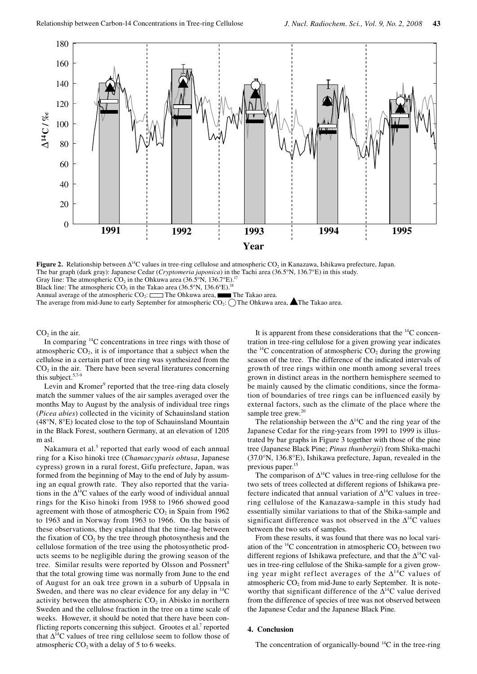

**Figure 2.** Relationship between ∆<sup>14</sup>C values in tree-ring cellulose and atmospheric CO<sub>2</sub> in Kanazawa, Ishikawa prefecture, Japan. The bar graph (dark gray): Japanese Cedar (*Cryptomeria japonica*) in the Tachi area (36.5°N, 136.7°E) in this study. Gray line: The atmospheric  $CO_2$  in the Ohkuwa area (36.5°N, 136.7°E).

Black line: The atmospheric  $CO_2$  in the Takao area (36.5°N, 136.6°E).<sup>18</sup><br>Annual average of the atmospheric  $CO_2$ : <u>—</u> The Ohkuwa area. **— The Takao area**. Annual average of the atmospheric  $CO_2$ :  $\Box$  The Ohkuwa area.

The average from mid-June to early September for atmospheric  $CO_2$ :  $\bigcirc$  The Ohkuwa area, **A** The Takao area.

 $CO<sub>2</sub>$  in the air.

In comparing  $^{14}$ C concentrations in tree rings with those of atmospheric  $CO<sub>2</sub>$ , it is of importance that a subject when the cellulose in a certain part of tree ring was synthesized from the  $CO<sub>2</sub>$  in the air. There have been several literatures concerning this subject. $5,7-9$ 

Levin and Kromer<sup>9</sup> reported that the tree-ring data closely match the summer values of the air samples averaged over the months May to August by the analysis of individual tree rings (*Picea abies*) collected in the vicinity of Schauinsland station (48°N, 8°E) located close to the top of Schauinsland Mountain in the Black Forest, southern Germany, at an elevation of 1205 m asl.

Nakamura et al.<sup>5</sup> reported that early wood of each annual ring for a Kiso hinoki tree (*Chamaecyparis obtusa*, Japanese cypress) grown in a rural forest, Gifu prefecture, Japan, was formed from the beginning of May to the end of July by assuming an equal growth rate. They also reported that the variations in the  $\Delta^{14}$ C values of the early wood of individual annual rings for the Kiso hinoki from 1958 to 1966 showed good agreement with those of atmospheric  $CO<sub>2</sub>$  in Spain from 1962 to 1963 and in Norway from 1963 to 1966. On the basis of these observations, they explained that the time-lag between the fixation of  $CO<sub>2</sub>$  by the tree through photosynthesis and the cellulose formation of the tree using the photosynthetic products seems to be negligible during the growing season of the tree. Similar results were reported by Olsson and Possnert<sup>8</sup> that the total growing time was normally from June to the end of August for an oak tree grown in a suburb of Uppsala in Sweden, and there was no clear evidence for any delay in  $^{14}$ C activity between the atmospheric  $CO<sub>2</sub>$  in Abisko in northern Sweden and the cellulose fraction in the tree on a time scale of weeks. However, it should be noted that there have been conflicting reports concerning this subject. Grootes et al.<sup>7</sup> reported that  $\Delta^{14}$ C values of tree ring cellulose seem to follow those of atmospheric  $CO<sub>2</sub>$  with a delay of 5 to 6 weeks.

It is apparent from these considerations that the  $^{14}$ C concentration in tree-ring cellulose for a given growing year indicates the  $^{14}$ C concentration of atmospheric CO<sub>2</sub> during the growing season of the tree. The difference of the indicated intervals of growth of tree rings within one month among several trees grown in distinct areas in the northern hemisphere seemed to be mainly caused by the climatic conditions, since the formation of boundaries of tree rings can be influenced easily by external factors, such as the climate of the place where the sample tree grew.<sup>20</sup>

The relationship between the  $\Delta^{14}$ C and the ring year of the Japanese Cedar for the ring-years from 1991 to 1999 is illustrated by bar graphs in Figure 3 together with those of the pine tree (Japanese Black Pine; *Pinus thunbergii*) from Shika-machi (37.0°N, 136.8°E), Ishikawa prefecture, Japan, revealed in the previous paper.<sup>15</sup>

The comparison of  $\Delta^{14}$ C values in tree-ring cellulose for the two sets of trees collected at different regions of Ishikawa prefecture indicated that annual variation of  $\Delta^{14}$ C values in treering cellulose of the Kanazawa-sample in this study had essentially similar variations to that of the Shika-sample and significant difference was not observed in the  $\Delta^{14}$ C values between the two sets of samples.

From these results, it was found that there was no local variation of the  $^{14}$ C concentration in atmospheric CO<sub>2</sub> between two different regions of Ishikawa prefecture, and that the  $\Delta^{14}$ C values in tree-ring cellulose of the Shika-sample for a given growing year might reflect averages of the  $\Delta^{14}$ C values of atmospheric  $CO<sub>2</sub>$  from mid-June to early September. It is noteworthy that significant difference of the ∆<sup>14</sup>C value derived from the difference of species of tree was not observed between the Japanese Cedar and the Japanese Black Pine.

### **4. Conclusion**